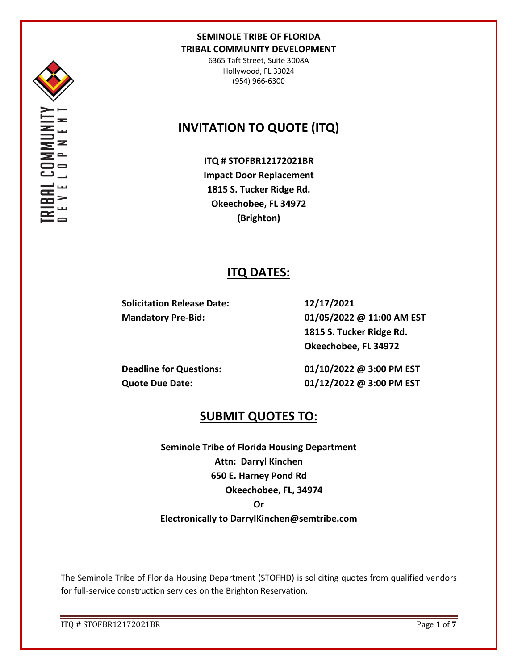

6365 Taft Street, Suite 3008A Hollywood, FL 33024 (954) 966-6300

# **INVITATION TO QUOTE (ITQ)**

**ITQ # STOFBR12172021BR Impact Door Replacement 1815 S. Tucker Ridge Rd. Okeechobee, FL 34972 (Brighton)**

## **ITQ DATES:**

**Solicitation Release Date: 12/17/2021**

**Mandatory Pre-Bid: 01/05/2022 @ 11:00 AM EST 1815 S. Tucker Ridge Rd. Okeechobee, FL 34972**

**Deadline for Questions: 01/10/2022 @ 3:00 PM EST Quote Due Date: 01/12/2022 @ 3:00 PM EST**

## **SUBMIT QUOTES TO:**

**Seminole Tribe of Florida Housing Department Attn: Darryl Kinchen 650 E. Harney Pond Rd Okeechobee, FL, 34974 Or Electronically to DarrylKinchen@semtribe.com**

The Seminole Tribe of Florida Housing Department (STOFHD) is soliciting quotes from qualified vendors for full-service construction services on the Brighton Reservation.

ITQ # STOFBR12172021BR Page **1** of **7**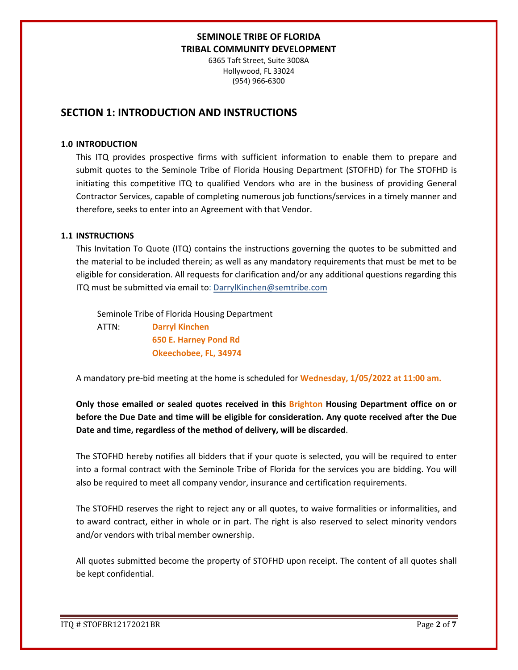6365 Taft Street, Suite 3008A Hollywood, FL 33024 (954) 966-6300

## **SECTION 1: INTRODUCTION AND INSTRUCTIONS**

### **1.0 INTRODUCTION**

This ITQ provides prospective firms with sufficient information to enable them to prepare and submit quotes to the Seminole Tribe of Florida Housing Department (STOFHD) for The STOFHD is initiating this competitive ITQ to qualified Vendors who are in the business of providing General Contractor Services, capable of completing numerous job functions/services in a timely manner and therefore, seeks to enter into an Agreement with that Vendor.

### **1.1 INSTRUCTIONS**

This Invitation To Quote (ITQ) contains the instructions governing the quotes to be submitted and the material to be included therein; as well as any mandatory requirements that must be met to be eligible for consideration. All requests for clarification and/or any additional questions regarding this ITQ must be submitted via email to: DarrylKinchen@semtribe.com

 Seminole Tribe of Florida Housing Department ATTN: **Darryl Kinchen**

 **650 E. Harney Pond Rd Okeechobee, FL, 34974**

A mandatory pre-bid meeting at the home is scheduled for **Wednesday, 1/05/2022 at 11:00 am.** 

**Only those emailed or sealed quotes received in this Brighton Housing Department office on or before the Due Date and time will be eligible for consideration. Any quote received after the Due Date and time, regardless of the method of delivery, will be discarded**.

The STOFHD hereby notifies all bidders that if your quote is selected, you will be required to enter into a formal contract with the Seminole Tribe of Florida for the services you are bidding. You will also be required to meet all company vendor, insurance and certification requirements.

The STOFHD reserves the right to reject any or all quotes, to waive formalities or informalities, and to award contract, either in whole or in part. The right is also reserved to select minority vendors and/or vendors with tribal member ownership.

All quotes submitted become the property of STOFHD upon receipt. The content of all quotes shall be kept confidential.

ITQ # STOFBR12172021BR Page **2** of **7**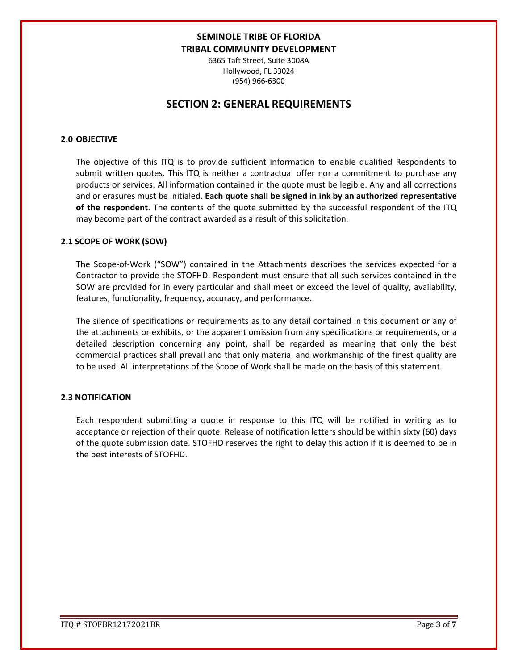6365 Taft Street, Suite 3008A Hollywood, FL 33024 (954) 966-6300

## **SECTION 2: GENERAL REQUIREMENTS**

### **2.0 OBJECTIVE**

The objective of this ITQ is to provide sufficient information to enable qualified Respondents to submit written quotes. This ITQ is neither a contractual offer nor a commitment to purchase any products or services. All information contained in the quote must be legible. Any and all corrections and or erasures must be initialed. **Each quote shall be signed in ink by an authorized representative of the respondent**. The contents of the quote submitted by the successful respondent of the ITQ may become part of the contract awarded as a result of this solicitation.

#### **2.1 SCOPE OF WORK (SOW)**

The Scope-of-Work ("SOW") contained in the Attachments describes the services expected for a Contractor to provide the STOFHD. Respondent must ensure that all such services contained in the SOW are provided for in every particular and shall meet or exceed the level of quality, availability, features, functionality, frequency, accuracy, and performance.

The silence of specifications or requirements as to any detail contained in this document or any of the attachments or exhibits, or the apparent omission from any specifications or requirements, or a detailed description concerning any point, shall be regarded as meaning that only the best commercial practices shall prevail and that only material and workmanship of the finest quality are to be used. All interpretations of the Scope of Work shall be made on the basis of this statement.

#### **2.3 NOTIFICATION**

Each respondent submitting a quote in response to this ITQ will be notified in writing as to acceptance or rejection of their quote. Release of notification letters should be within sixty (60) days of the quote submission date. STOFHD reserves the right to delay this action if it is deemed to be in the best interests of STOFHD.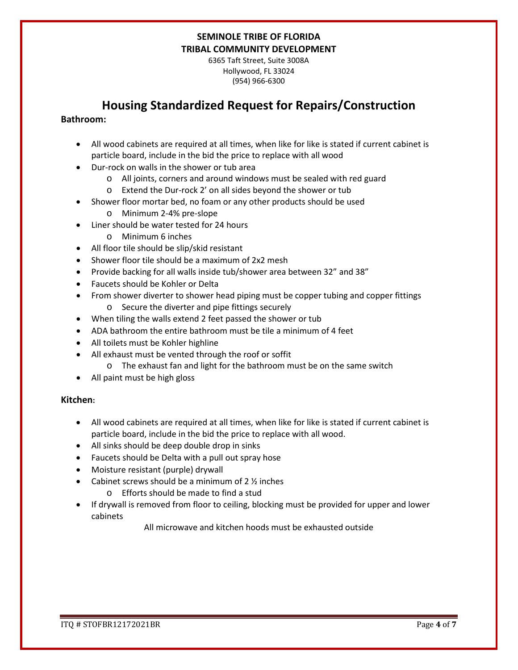6365 Taft Street, Suite 3008A Hollywood, FL 33024 (954) 966-6300

## **Housing Standardized Request for Repairs/Construction**

### **Bathroom:**

- All wood cabinets are required at all times, when like for like is stated if current cabinet is particle board, include in the bid the price to replace with all wood
- Dur-rock on walls in the shower or tub area
	- o All joints, corners and around windows must be sealed with red guard
	- o Extend the Dur-rock 2' on all sides beyond the shower or tub
- Shower floor mortar bed, no foam or any other products should be used
	- o Minimum 2-4% pre-slope
- Liner should be water tested for 24 hours
	- o Minimum 6 inches
- All floor tile should be slip/skid resistant
- Shower floor tile should be a maximum of 2x2 mesh
- Provide backing for all walls inside tub/shower area between 32" and 38"
- Faucets should be Kohler or Delta
- From shower diverter to shower head piping must be copper tubing and copper fittings o Secure the diverter and pipe fittings securely
- When tiling the walls extend 2 feet passed the shower or tub
- ADA bathroom the entire bathroom must be tile a minimum of 4 feet
- All toilets must be Kohler highline
- All exhaust must be vented through the roof or soffit
	- o The exhaust fan and light for the bathroom must be on the same switch
- All paint must be high gloss

### **Kitchen:**

- All wood cabinets are required at all times, when like for like is stated if current cabinet is particle board, include in the bid the price to replace with all wood.
- All sinks should be deep double drop in sinks
- Faucets should be Delta with a pull out spray hose
- Moisture resistant (purple) drywall
- Cabinet screws should be a minimum of  $2 \frac{1}{2}$  inches
	- o Efforts should be made to find a stud
- If drywall is removed from floor to ceiling, blocking must be provided for upper and lower cabinets

All microwave and kitchen hoods must be exhausted outside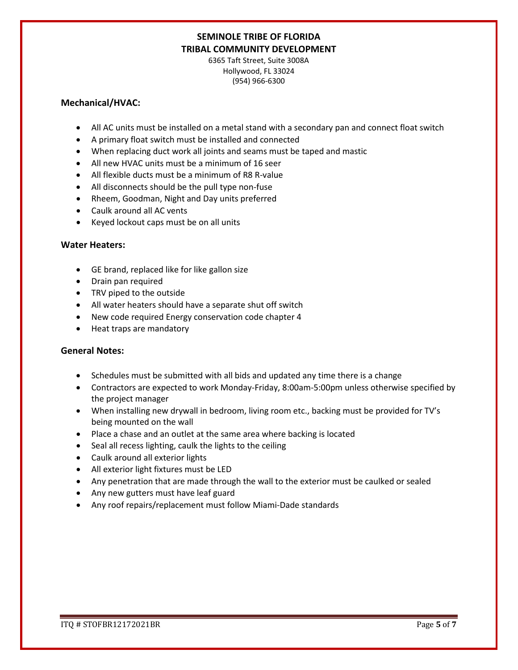6365 Taft Street, Suite 3008A Hollywood, FL 33024 (954) 966-6300

### **Mechanical/HVAC:**

- All AC units must be installed on a metal stand with a secondary pan and connect float switch
- A primary float switch must be installed and connected
- When replacing duct work all joints and seams must be taped and mastic
- All new HVAC units must be a minimum of 16 seer
- All flexible ducts must be a minimum of R8 R-value
- All disconnects should be the pull type non-fuse
- Rheem, Goodman, Night and Day units preferred
- Caulk around all AC vents
- Keyed lockout caps must be on all units

### **Water Heaters:**

- GE brand, replaced like for like gallon size
- Drain pan required
- TRV piped to the outside
- All water heaters should have a separate shut off switch
- New code required Energy conservation code chapter 4
- Heat traps are mandatory

### **General Notes:**

- Schedules must be submitted with all bids and updated any time there is a change
- Contractors are expected to work Monday-Friday, 8:00am-5:00pm unless otherwise specified by the project manager
- When installing new drywall in bedroom, living room etc., backing must be provided for TV's being mounted on the wall
- Place a chase and an outlet at the same area where backing is located
- Seal all recess lighting, caulk the lights to the ceiling
- Caulk around all exterior lights
- All exterior light fixtures must be LED
- Any penetration that are made through the wall to the exterior must be caulked or sealed
- Any new gutters must have leaf guard
- Any roof repairs/replacement must follow Miami-Dade standards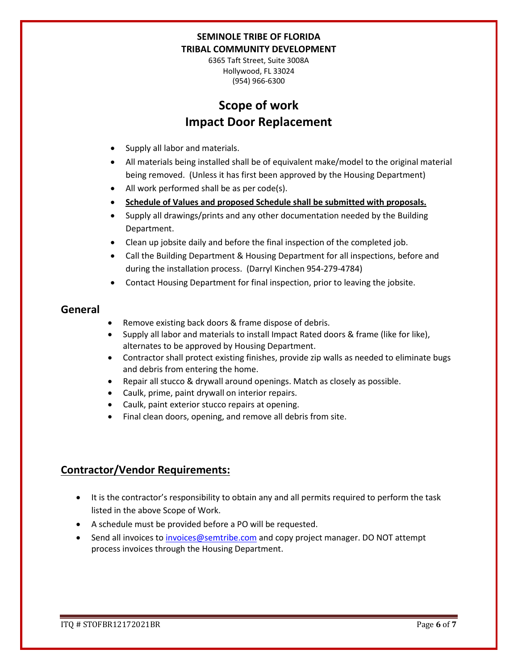6365 Taft Street, Suite 3008A Hollywood, FL 33024 (954) 966-6300

# **Scope of work Impact Door Replacement**

- Supply all labor and materials.
- All materials being installed shall be of equivalent make/model to the original material being removed. (Unless it has first been approved by the Housing Department)
- All work performed shall be as per code(s).
- **Schedule of Values and proposed Schedule shall be submitted with proposals.**
- Supply all drawings/prints and any other documentation needed by the Building Department.
- Clean up jobsite daily and before the final inspection of the completed job.
- Call the Building Department & Housing Department for all inspections, before and during the installation process. (Darryl Kinchen 954-279-4784)
- Contact Housing Department for final inspection, prior to leaving the jobsite.

### **General**

- Remove existing back doors & frame dispose of debris.
- Supply all labor and materials to install Impact Rated doors & frame (like for like), alternates to be approved by Housing Department.
- Contractor shall protect existing finishes, provide zip walls as needed to eliminate bugs and debris from entering the home.
- Repair all stucco & drywall around openings. Match as closely as possible.
- Caulk, prime, paint drywall on interior repairs.
- Caulk, paint exterior stucco repairs at opening.
- Final clean doors, opening, and remove all debris from site.

## **Contractor/Vendor Requirements:**

- It is the contractor's responsibility to obtain any and all permits required to perform the task listed in the above Scope of Work.
- A schedule must be provided before a PO will be requested.
- Send all invoices to [invoices@semtribe.com](mailto:invoices@semtribe.com) and copy project manager. DO NOT attempt process invoices through the Housing Department.